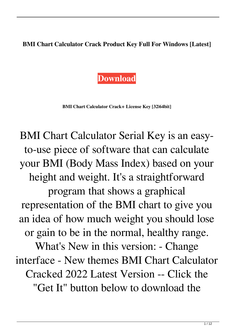**BMI Chart Calculator Crack Product Key Full For Windows [Latest]**



**BMI Chart Calculator Crack+ License Key [32|64bit]**

BMI Chart Calculator Serial Key is an easyto-use piece of software that can calculate your BMI (Body Mass Index) based on your height and weight. It's a straightforward program that shows a graphical representation of the BMI chart to give you an idea of how much weight you should lose or gain to be in the normal, healthy range. What's New in this version: - Change interface - New themes BMI Chart Calculator Cracked 2022 Latest Version -- Click the "Get It" button below to download the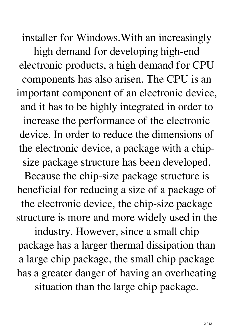installer for Windows.With an increasingly high demand for developing high-end electronic products, a high demand for CPU components has also arisen. The CPU is an important component of an electronic device, and it has to be highly integrated in order to increase the performance of the electronic device. In order to reduce the dimensions of the electronic device, a package with a chipsize package structure has been developed. Because the chip-size package structure is beneficial for reducing a size of a package of the electronic device, the chip-size package structure is more and more widely used in the

industry. However, since a small chip package has a larger thermal dissipation than a large chip package, the small chip package has a greater danger of having an overheating situation than the large chip package.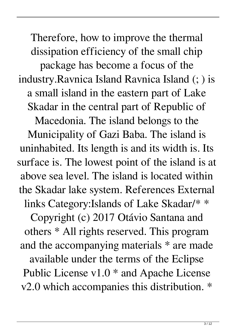Therefore, how to improve the thermal dissipation efficiency of the small chip package has become a focus of the industry.Ravnica Island Ravnica Island (; ) is a small island in the eastern part of Lake Skadar in the central part of Republic of Macedonia. The island belongs to the Municipality of Gazi Baba. The island is uninhabited. Its length is and its width is. Its surface is. The lowest point of the island is at above sea level. The island is located within the Skadar lake system. References External links Category:Islands of Lake Skadar/\* \* Copyright (c) 2017 Otávio Santana and others \* All rights reserved. This program and the accompanying materials \* are made available under the terms of the Eclipse Public License v1.0 \* and Apache License v2.0 which accompanies this distribution. \*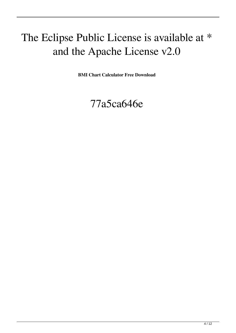## The Eclipse Public License is available at \* and the Apache License v2.0

**BMI Chart Calculator Free Download**

## 77a5ca646e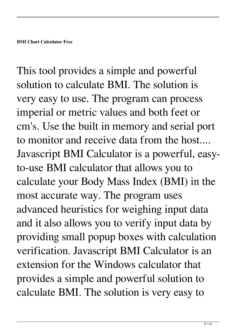This tool provides a simple and powerful solution to calculate BMI. The solution is very easy to use. The program can process imperial or metric values and both feet or cm's. Use the built in memory and serial port to monitor and receive data from the host.... Javascript BMI Calculator is a powerful, easyto-use BMI calculator that allows you to calculate your Body Mass Index (BMI) in the most accurate way. The program uses advanced heuristics for weighing input data and it also allows you to verify input data by providing small popup boxes with calculation verification. Javascript BMI Calculator is an extension for the Windows calculator that provides a simple and powerful solution to calculate BMI. The solution is very easy to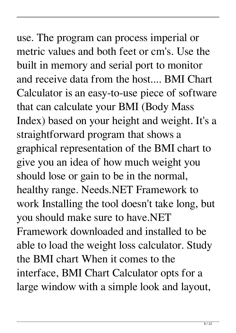use. The program can process imperial or metric values and both feet or cm's. Use the built in memory and serial port to monitor and receive data from the host.... BMI Chart Calculator is an easy-to-use piece of software that can calculate your BMI (Body Mass Index) based on your height and weight. It's a straightforward program that shows a graphical representation of the BMI chart to give you an idea of how much weight you should lose or gain to be in the normal, healthy range. Needs.NET Framework to work Installing the tool doesn't take long, but you should make sure to have.NET Framework downloaded and installed to be able to load the weight loss calculator. Study the BMI chart When it comes to the interface, BMI Chart Calculator opts for a large window with a simple look and layout,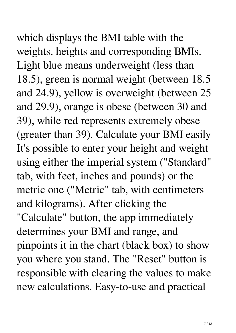which displays the BMI table with the weights, heights and corresponding BMIs. Light blue means underweight (less than 18.5), green is normal weight (between 18.5 and 24.9), yellow is overweight (between 25 and 29.9), orange is obese (between 30 and 39), while red represents extremely obese (greater than 39). Calculate your BMI easily It's possible to enter your height and weight using either the imperial system ("Standard" tab, with feet, inches and pounds) or the metric one ("Metric" tab, with centimeters and kilograms). After clicking the "Calculate" button, the app immediately determines your BMI and range, and pinpoints it in the chart (black box) to show you where you stand. The "Reset" button is responsible with clearing the values to make new calculations. Easy-to-use and practical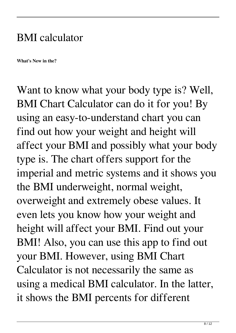## BMI calculator

**What's New in the?**

Want to know what your body type is? Well, BMI Chart Calculator can do it for you! By using an easy-to-understand chart you can find out how your weight and height will affect your BMI and possibly what your body type is. The chart offers support for the imperial and metric systems and it shows you the BMI underweight, normal weight, overweight and extremely obese values. It even lets you know how your weight and height will affect your BMI. Find out your BMI! Also, you can use this app to find out your BMI. However, using BMI Chart Calculator is not necessarily the same as using a medical BMI calculator. In the latter, it shows the BMI percents for different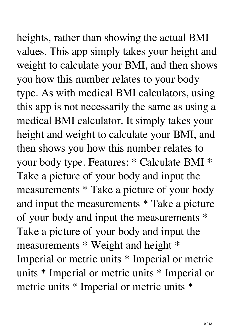heights, rather than showing the actual BMI values. This app simply takes your height and weight to calculate your BMI, and then shows you how this number relates to your body type. As with medical BMI calculators, using this app is not necessarily the same as using a medical BMI calculator. It simply takes your height and weight to calculate your BMI, and then shows you how this number relates to your body type. Features: \* Calculate BMI \* Take a picture of your body and input the measurements \* Take a picture of your body and input the measurements \* Take a picture of your body and input the measurements \* Take a picture of your body and input the measurements \* Weight and height \* Imperial or metric units \* Imperial or metric units \* Imperial or metric units \* Imperial or metric units \* Imperial or metric units \*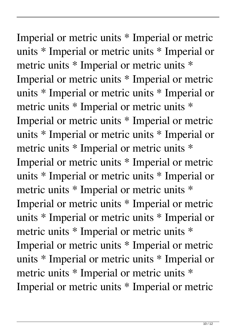Imperial or metric units \* Imperial or metric units \* Imperial or metric units \* Imperial or metric units \* Imperial or metric units \* Imperial or metric units \* Imperial or metric units \* Imperial or metric units \* Imperial or metric units \* Imperial or metric units \* Imperial or metric units \* Imperial or metric units \* Imperial or metric units \* Imperial or metric units \* Imperial or metric units \* Imperial or metric units \* Imperial or metric units \* Imperial or metric units \* Imperial or metric units \* Imperial or metric units \* Imperial or metric units \* Imperial or metric units \* Imperial or metric units \* Imperial or metric units \* Imperial or metric units \* Imperial or metric units \* Imperial or metric units \* Imperial or metric units \* Imperial or metric units \* Imperial or metric units \* Imperial or metric units \* Imperial or metric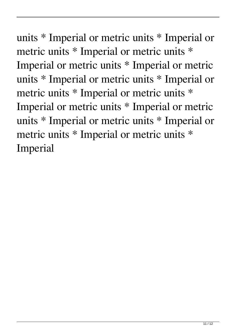units \* Imperial or metric units \* Imperial or metric units \* Imperial or metric units \* Imperial or metric units \* Imperial or metric units \* Imperial or metric units \* Imperial or metric units \* Imperial or metric units \* Imperial or metric units \* Imperial or metric units \* Imperial or metric units \* Imperial or metric units \* Imperial or metric units \* Imperial